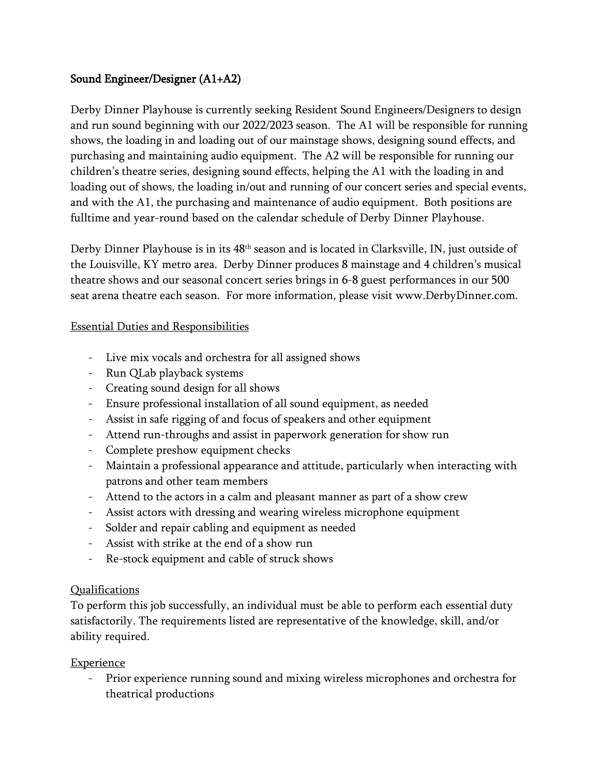### Sound Engineer/Designer (A1+A2)

Derby Dinner Playhouse is currently seeking Resident Sound Engineers/Designers to design and run sound beginning with our 2022/2023 season. The A1 will be responsible for running shows, the loading in and loading out of our mainstage shows, designing sound effects, and purchasing and maintaining audio equipment. The A2 will be responsible for running our children's theatre series, designing sound effects, helping the A1 with the loading in and loading out of shows, the loading in/out and running of our concert series and special events, and with the A1, the purchasing and maintenance of audio equipment. Both positions are fulltime and year-round based on the calendar schedule of Derby Dinner Playhouse.

Derby Dinner Playhouse is in its 48th season and is located in Clarksville, IN, just outside of the Louisville, KY metro area. Derby Dinner produces 8 mainstage and 4 children's musical theatre shows and our seasonal concert series brings in 6-8 guest performances in our 500 seat arena theatre each season. For more information, please visit www.DerbyDinner.com.

#### Essential Duties and Responsibilities

- Live mix vocals and orchestra for all assigned shows
- Run QLab playback systems
- Creating sound design for all shows
- Ensure professional installation of all sound equipment, as needed
- Assist in safe rigging of and focus of speakers and other equipment
- Attend run-throughs and assist in paperwork generation for show run
- Complete preshow equipment checks
- Maintain a professional appearance and attitude, particularly when interacting with patrons and other team members
- Attend to the actors in a calm and pleasant manner as part of a show crew
- Assist actors with dressing and wearing wireless microphone equipment
- Solder and repair cabling and equipment as needed
- Assist with strike at the end of a show run
- Re-stock equipment and cable of struck shows

### Qualifications

To perform this job successfully, an individual must be able to perform each essential duty satisfactorily. The requirements listed are representative of the knowledge, skill, and/or ability required.

### **Experience**

- Prior experience running sound and mixing wireless microphones and orchestra for theatrical productions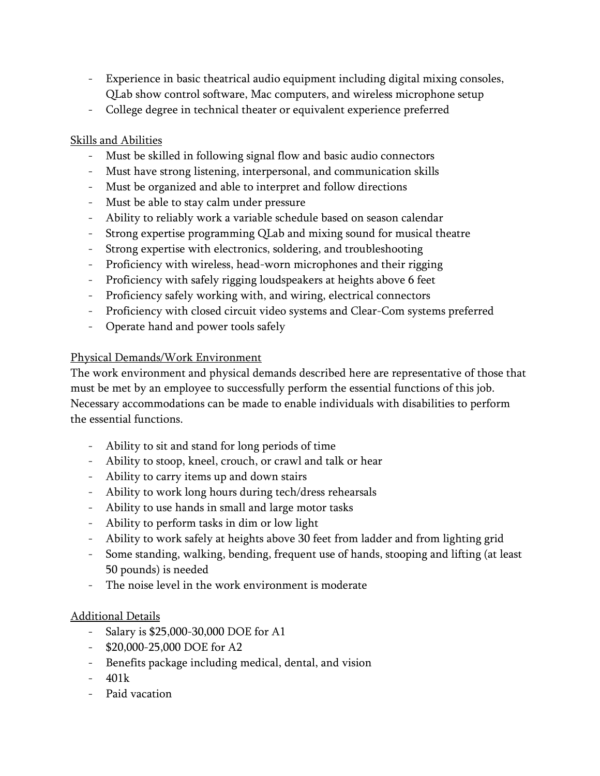- Experience in basic theatrical audio equipment including digital mixing consoles, QLab show control software, Mac computers, and wireless microphone setup
- College degree in technical theater or equivalent experience preferred

## Skills and Abilities

- Must be skilled in following signal flow and basic audio connectors
- Must have strong listening, interpersonal, and communication skills
- Must be organized and able to interpret and follow directions
- Must be able to stay calm under pressure
- Ability to reliably work a variable schedule based on season calendar
- Strong expertise programming QLab and mixing sound for musical theatre
- Strong expertise with electronics, soldering, and troubleshooting
- Proficiency with wireless, head-worn microphones and their rigging
- Proficiency with safely rigging loudspeakers at heights above 6 feet
- Proficiency safely working with, and wiring, electrical connectors
- Proficiency with closed circuit video systems and Clear-Com systems preferred
- Operate hand and power tools safely

### Physical Demands/Work Environment

The work environment and physical demands described here are representative of those that must be met by an employee to successfully perform the essential functions of this job. Necessary accommodations can be made to enable individuals with disabilities to perform the essential functions.

- Ability to sit and stand for long periods of time
- Ability to stoop, kneel, crouch, or crawl and talk or hear
- Ability to carry items up and down stairs
- Ability to work long hours during tech/dress rehearsals
- Ability to use hands in small and large motor tasks
- Ability to perform tasks in dim or low light
- Ability to work safely at heights above 30 feet from ladder and from lighting grid
- Some standing, walking, bending, frequent use of hands, stooping and lifting (at least 50 pounds) is needed
- The noise level in the work environment is moderate

# Additional Details

- Salary is \$25,000-30,000 DOE for A1
- \$20,000-25,000 DOE for A2
- Benefits package including medical, dental, and vision
- $401k$
- Paid vacation